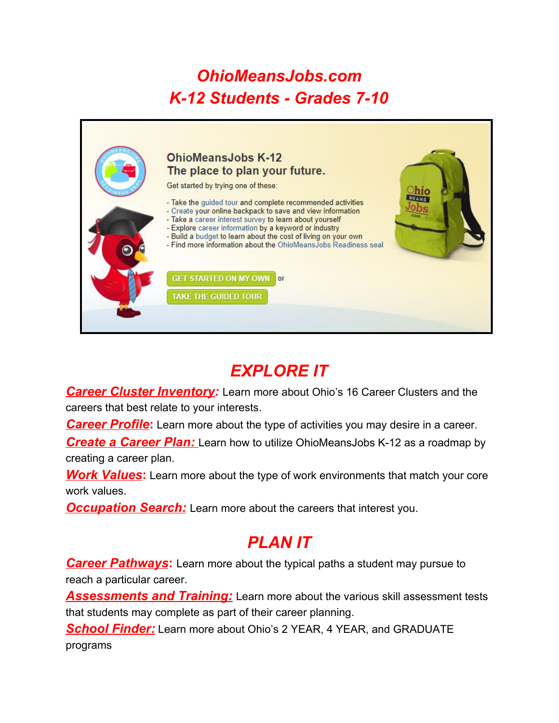# *OhioMeansJobs.com K-12 Students - Grades 7-10*



# *EXPLORE IT*

*Career Cluster Inventory:* Learn more about Ohio's 16 Career Clusters and the careers that best relate to your interests.

**Career Profile:** Learn more about the type of activities you may desire in a career.

*Create a Career Plan:* Learn how to utilize OhioMeansJobs K-12 as a roadmap by creating a career plan.

*Work Values***:** Learn more about the type of work environments that match your core work values.

*Occupation Search:* Learn more about the careers that interest you.

#### *PLAN IT*

*Career Pathways*: Learn more about the typical paths a student may pursue to reach a particular career.

*Assessments and Training:* Learn more about the various skill assessment tests that students may complete as part of their career planning.

*School Finder:* Learn more about Ohio's 2 YEAR, 4 YEAR, and GRADUATE programs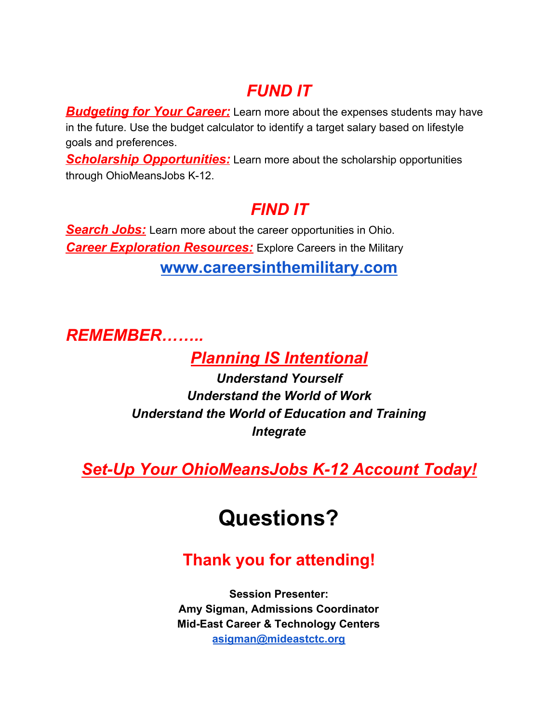### *FUND IT*

*Budgeting for Your Career:* Learn more about the expenses students may have in the future. Use the budget calculator to identify a target salary based on lifestyle goals and preferences.

**Scholarship Opportunities:** Learn more about the scholarship opportunities through OhioMeansJobs K-12.

#### *FIND IT*

**Search Jobs:** Learn more about the career opportunities in Ohio. *Career Exploration Resources:* Explore Careers in the Military **[www.careersinthemilitary.com](http://www.careersinthemilitary.com/)**

*REMEMBER……..*

*Planning IS Intentional*

*Understand Yourself Understand the World of Work Understand the World of Education and Training Integrate*

*Set-Up Your OhioMeansJobs K-12 Account Today!*

# **Questions?**

### **Thank you for attending!**

**Session Presenter: Amy Sigman, Admissions Coordinator Mid-East Career & Technology Centers [asigman@mideastctc.org](mailto:asigman@mideastctc.org)**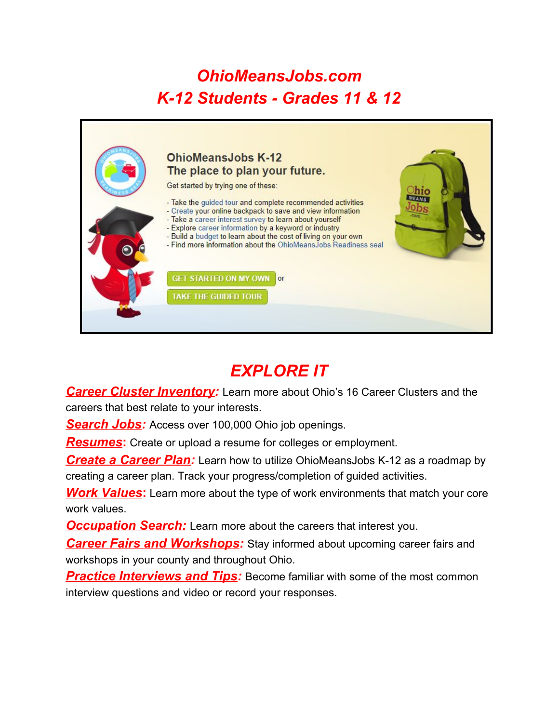# *OhioMeansJobs.com K-12 Students - Grades 11 & 12*



# *EXPLORE IT*

*Career Cluster Inventory:* Learn more about Ohio's 16 Career Clusters and the careers that best relate to your interests.

*Search Jobs:* Access over 100,000 Ohio job openings.

*Resumes***:** Create or upload a resume for colleges or employment.

*Create a Career Plan:* Learn how to utilize OhioMeansJobs K-12 as a roadmap by creating a career plan. Track your progress/completion of guided activities.

*Work* Values: Learn more about the type of work environments that match your core work values.

*Occupation Search:* Learn more about the careers that interest you.

*Career Fairs and Workshops:* Stay informed about upcoming career fairs and workshops in your county and throughout Ohio.

**Practice Interviews and Tips:** Become familiar with some of the most common interview questions and video or record your responses.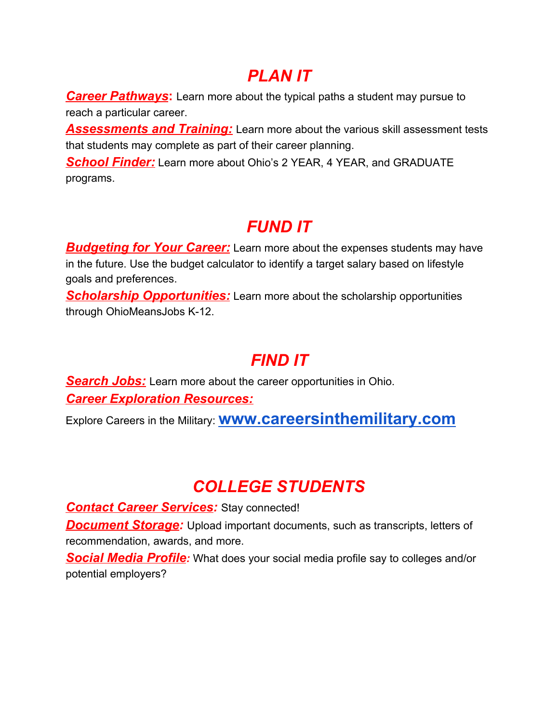### *PLAN IT*

*Career Pathways***:** Learn more about the typical paths a student may pursue to reach a particular career.

*Assessments and Training:* Learn more about the various skill assessment tests that students may complete as part of their career planning.

*School Finder:* Learn more about Ohio's 2 YEAR, 4 YEAR, and GRADUATE programs.

# *FUND IT*

*Budgeting for Your Career:* Learn more about the expenses students may have in the future. Use the budget calculator to identify a target salary based on lifestyle goals and preferences.

*Scholarship Opportunities:* Learn more about the scholarship opportunities through OhioMeansJobs K-12.

#### *FIND IT*

*Search Jobs:* Learn more about the career opportunities in Ohio. *Career Exploration Resources:*

Explore Careers in the Military: **[www.careersinthemilitary.com](http://www.careersinthemilitary.com/)**

# *COLLEGE STUDENTS*

*Contact Career Services:* Stay connected! *Document Storage:* Upload important documents, such as transcripts, letters of recommendation, awards, and more.

*Social Media Profile:* What does your social media profile say to colleges and/or potential employers?